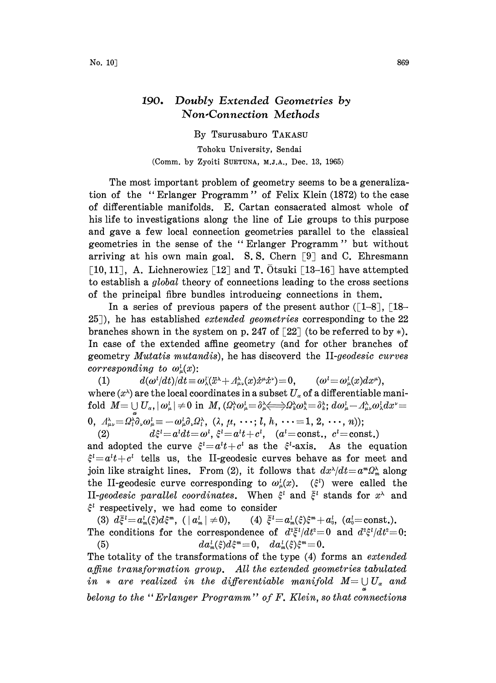## 190. Doubly Extended Geometries by Non.Connection Methods

By Tsurusaburo TAKASU

Tohoku University, Sendai (Comm. by Zyoiti SUETUNA, M.J.A., Dec. 13, 1965)

The most important problem of geometry seems to be a generalization of the "Erlanger Programm" of Felix Klein (1872) to the case of differentiable manifolds. E. Cartan consacrated almost whole of his life to investigations along the line of Lie groups to this purpose and gave a few local connection geometries parallel to the classical geometries in the sense of the " Erlanger Programm" but without arriving at his own main goal. S.S. Chern  $[9]$  and C. Ehresmann [10, 11], A. Lichnerowicz [12] and T. Otsuki [13-16] have attempted to establish a global theory of connections leading to the cross sections of the principal fibre bundles introducing connections in them.

In a series of previous papers of the present author  $(1-8)$ ,  $18-$ 25]), he has established *extended geometries* corresponding to the 22 branches shown in the system on p. 247 of  $\lceil 22 \rceil$  (to be referred to by \*). In case of the extended affine geometry (and for other branches of geometry *Mutatis mutandis*), he has discoverd the II-geodesic curves corresponding to  $\omega_{\mu}^{l}(x)$ :

(1)  $d(\omega^l/dt)/dt \equiv \omega_\lambda^l(\ddot{x}^\lambda + A_{\mu\nu}^\lambda(x)\dot{x}^\mu \dot{x}^\nu) = 0, \qquad (\omega^l = \omega_\mu^l(x)dx^\mu),$ where  $(x^{\lambda})$  are the local coordinates in a subset  $U_{\alpha}$  of a differentiable manifold  $M=\cup U_\alpha, |\omega_\mu^l|\neq 0$  in  $M$ ,  $(\Omega_l^\lambda \omega_\mu^l = \delta_\mu^\lambda \Longleftrightarrow \Omega_k^\lambda \omega_\lambda^k = \delta_k^k$ ;  $d\omega_\mu^l - A_{\mu\nu}^\lambda \omega_\lambda^l dx^{\nu} =$ - " dw--,wxdxX (, ,h ...-,2,..,n));

(2)  $d\xi^{i} = a^{i}dt = \omega^{i}, \xi^{i} = a^{i}t + c^{i}, \quad (a^{i} = \text{const.}, c^{i} = \text{const.})$ 

and adopted the curve  $\xi^i=a^t t+c^t$  as the  $\xi^i$ -axis. As the equation  $\xi^l = a^l t + c^l$  tells us, the II-geodesic curves behave as for meet and join like straight lines. From (2), it follows that  $dx^2/dt = a^2x^2$  along the II-geodesic curve corresponding to  $\omega_{\mu}^{l}(x)$ . ( $\xi^{l}$ ) were called the II-geodesic parallel coordinates. When  $\tilde{\xi}^i$  and  $\tilde{\xi}^i$  stands for  $x^{\lambda}$  and  $\xi^i$  respectively, we had come to consider

(3)  $d\bar{\xi}^{\ell} = a_m^{\ell}(\xi) d\xi^m$ ,  $(|a_m^{\ell}| \neq 0)$ , The conditions for the correspondence of  $d^2\bar{\xi}^l/dt^2=0$  and  $d^2\xi^l/dt^2=0$ (4)  $\bar{\xi}^i = a_m^i(\xi)\xi^m + a_0^i$ , ( $a_0^i = \text{const.}$ ). (5)  $da_m^l(\xi)d\xi^m=0, \quad da_m^l(\xi)\xi^m=0.$ 

The totality of the transformations of the type (4) forms an *extended*  $a$ ffine transformation group. All the extended geometries tabulated in  $*$  are realized in the differentiable manifold  $M = \bigcup U_{\alpha}$  and belong to the "Erlanger Programm" of  $F$ . Klein, so that connections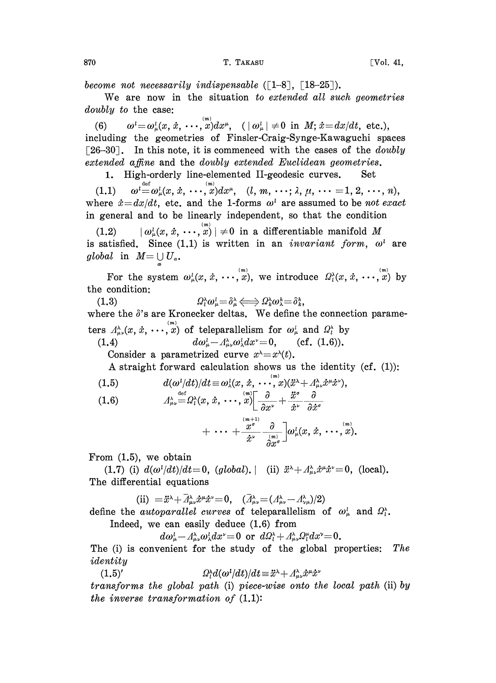become not necessarily indispensable  $([-1-8], [18-25]).$ 

We are now in the situation to extended all such geometries  $doubly$  to the case:

 $\begin{aligned} &\psi_{\text{max}} = \omega_{\mu}^{l}(x, \dot{x}, \cdots, x)dx^{\mu}, \quad (|\omega_{\mu}^{l}| \neq 0 \text{ in } M; \dot{x} = dx/dt, \text{ etc.}), \ &\text{the geometries of Finsler-Craig-Synge-Kaway} \end{aligned}$  $(6)$ including the geometries of Finsler-Craig-Synge-Kawaguchi spaces [26-30]. In this note, it is commenced with the cases of the *doubly* extended affine and the doubly extended Euclidean geometries.

1. High-orderly line-elemented II-geodesic curves. Set

 $(1.1) \qquad \omega^{\text{def}} = \omega_{\mu}^{l}(x, \dot{x}, \cdots, x)dx^{\mu}, \quad (l, m, \cdots; \lambda, \mu, \cdots = 1, 2, \cdots, n),$ (1.1)  $\omega^i = \omega^i_\mu(x, \dot{x}, \dots, x) dx^\mu$ ,  $(l, m, \dots; \lambda, \mu, \dots = 1, 2, \dots, n)$ ,<br>where  $\dot{x} = dx/dt$ , etc. and the 1-forms  $\omega^i$  are assumed to be not exact in general and to be linearly independent, so that the condition

 $(1.2) \qquad |\omega_{\mu}^{l}(x, \, \dot{x}, \, \cdots, \, \overset{_{(m)}}{x})\, | \neq 0 \, \text{ in a differentiable manifold } \, M$ is satisfied. Since  $(1.1)$  is written in an *invariant form*,  $\omega^i$  are global in  $M = \bigcup U_{\alpha}$ .

For the system  $\omega_{\mu}^{l}(x, \dot{x}, \cdots, x),$  we introduce  $\Omega_{l}^{\lambda}(x, \dot{x}, \cdots, x)$  by the condition:

(1.3)  $Q_t^{\lambda} \omega_{\mu}^l = \delta_{\mu}^{\lambda} \Longleftrightarrow Q_k^{\lambda} \omega_{\lambda}^h = \delta_k^h,$ where the  $\delta$ 's are Kronecker deltas. We define the connection parameters  $A_{\mu\nu}^{\lambda}(x, \dot{x}, \cdots, x)$  of teleparallelism for  $\omega_{\mu}^{\lambda}$  and  $\Omega_{\iota}^{\lambda}$  by

(1.4) 
$$
d\omega_{\mu}^{1} - A_{\mu\nu}^{\lambda} \omega_{\lambda}^{1} dx^{\nu} = 0, \quad \text{(cf. (1.6))}.
$$
Consider a normalized curve  $x^{\lambda} - x^{\lambda}(t)$ .

Consider a parametrized curve  $x^2=x^2(t)$ .

A straight forward calculation shows us the identity (cf. (1)): 
$$
d(\omega^i/dt)/dt \equiv \omega_\lambda^i(x, \dot{x}, \cdots, x)(\ddot{x}^\lambda + A^\lambda_{\mu\nu}\dot{x}^\mu\dot{x}^\nu),
$$

(1.6) 
$$
A_{\mu\nu}^{\lambda} = \Omega_l^{\lambda}(x, \dot{x}, \cdots, x) \left[ \frac{\partial}{\partial x^{\nu}} + \frac{\ddot{x}^{\sigma}}{\dot{x}^{\nu}} \frac{\partial}{\partial \dot{x}^{\sigma}} \right]
$$

$$
+\ \cdots \ + \frac{\overset{_{(m+1)}}{x^{\sigma}}}{\overset{\circ}{x}^{\nu}} \frac{\partial}{\overset{_{(m)}}{\partial x^{\sigma}}} \bigg] \omega_{\mu}^{l}(x,\, \dot{x},\, \cdots, \overset{_{(m)}}{x}).
$$

From (1.5), we obtain

(1.7) (i)  $d(\omega^{i}/dt)/dt=0$ , (global). (ii)  $\ddot{x}^{\lambda}+A_{\mu\nu}^{\lambda}\dot{x}^{\mu}\dot{x}^{\nu}=0$ , (local). The differential equations

$$
\begin{aligned}\n\text{(ii)} &= \ddot{x}^{\lambda} + \bar{A}^{\lambda}_{\mu\nu} \dot{x}^{\mu} \dot{x}^{\nu} = 0, \quad (\bar{A}^{\lambda}_{\mu\nu} = (A^{\lambda}_{\mu\nu} - A^{\lambda}_{\nu\mu})/2) \\
\text{with } \text{div}(A^{\mu\nu}) &= 0, \quad (\bar{A}^{\mu}_{\mu\nu} = (A^{\lambda}_{\mu\nu} - A^{\lambda}_{\nu\mu})/2)\n\end{aligned}
$$

define the *autoparallel curves* of teleparallelism of  $\omega_{\mu}^{l}$  and  $\Omega_{l}^{s}$ . Indeed, we can easily deduce (1.6) from

 $d\omega_{\mu}^l - A_{\mu\nu}^{\lambda} \omega_{\lambda}^l dx^{\nu} = 0$  or  $d\Omega_l^{\lambda} + A_{\mu\nu}^{\lambda} \Omega_l^{\mu} dx^{\nu} = 0$ .

The (i) is convenient for the study of the global properties: The identity

(1.5)'  $\Omega_t^{\lambda} d(\omega^t/dt)/dt = \ddot{x}^{\lambda} + A_{\mu\nu}^{\lambda} \dot{x}^{\mu} \dot{x}^{\nu}$ 

transforms the global path (i) piece-wise onto the local path (ii) by the inverse transformation of  $(1,1)$ :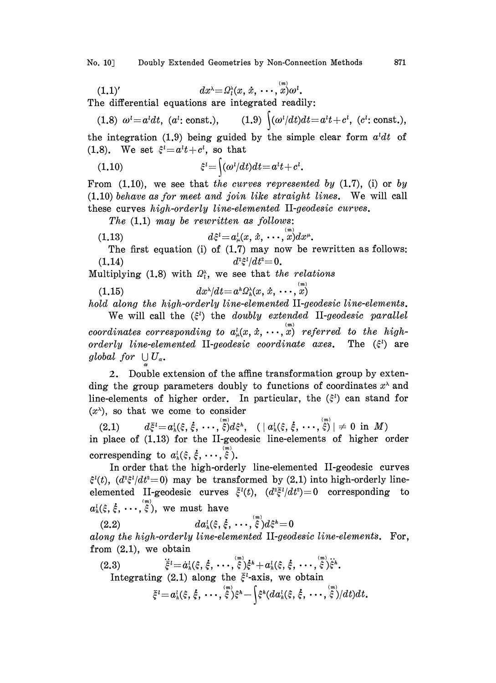No. 10 Doubly Extended Geometries by Non-Connection Methods 871

$$
(1.1)'\qquad \qquad dx^{\lambda} = \Omega_t^{\lambda}(x, x, \cdots, x)\omega^{\iota}.
$$

The differential equations are integrated readily:

(1.8)  $\omega^i = a^i dt$ , (a<sup>t</sup>: const.), (1.8)  $\omega^{l} = a^{l}dt$ , (a<sup>t</sup>: const.), (1.9)  $\int (\omega^{l}/dt)dt = a^{l}t + c^{l}$ , (c<sup>t</sup>: const.), the integration (1.9) being guided by the simple clear form  $a^{l}dt$  of

(1.8). We set  $\xi^{i} = a^{i}t+c^{i}$ , so that

(1.10) 
$$
\xi^{l} = \int (\omega^{l}/dt)dt = a^{l}t + c^{l}.
$$

From  $(1.10)$ , we see that the curves represented by  $(1.7)$ ,  $(i)$  or by (1.10) behave as for meet and join like straight lines. We will call these curves high-orderly line-elemented II-geodesic curves.

The  $(1,1)$  may be rewritten as follows:

(1.13) 
$$
d\xi^{l} = a_{\mu}^{l}(x, \dot{x}, \cdots, x) dx^{\mu}.
$$

The first equation (i) of  $(1.7)$  may now be rewritten as follows:  $d^2\xi^l/dt^2=0.$ 

Multiplying (1.8) with  $\Omega_i^{\lambda}$ , we see that the relations

 $dx^{\lambda}/dt = a^{\hbar}\Omega_{\hbar}^{\lambda}(x, \, \dot{x}, \, \cdots, \, \dot{x})$ 

hold along the high-orderly line-elemented II-geodesic line-elements.

We will call the  $(\xi^i)$  the *doubly extended* II-geodesic parallel coordinates corresponding to  $a<sub>\mu</sub><sup>1</sup>(x, \dot{x}, \dots, \overset{m}{x})$  referred to the highorderly line-elemented II-geodesic coordinate axes. The  $(\xi^i)$  are global for  $\bigcup U_{\alpha}$ .

2. Double extension of the affine transformation group by extending the group parameters doubly to functions of coordinates  $x^{\lambda}$  and line-elements of higher order. In particular, the  $(\xi^i)$  can stand for  $(x^{\lambda})$ , so that we come to consider

 $(2.1) \qquad \quad d{\bar \xi}^{\,l}\!\!=\!a_{\hbar}^l(\xi, \dot{\xi},\, \cdots, \dot{\bar \xi}) d\xi^{\hbar}, \;\;\; (\mid a_{\hbar}^l(\xi, \dot{\xi},\, \cdots, \dot{\bar \xi})\mid \,\neq\, 0\;\; {\rm in}\;\; M)$ in place of (1.13) for the II-geodesic line-elements of higher order correspending to  $a_h^l(\xi, \dot{\xi}, \cdots, \dot{\xi})$ .

In order that the high-orderly line-elemented II-geodesic curves  $\xi^{(t)}(t)$ ,  $(d^2\xi^{(t)}/dt^2=0)$  may be transformed by (2.1) into high-orderly lineelemented II-geodesic curves  $\bar{\xi}^{l}(t)$ ,  $(d^{2}\bar{\xi}^{l}/dt^{2})=0$  corresponding to  $a_k^l(\xi, \dot{\xi}, \cdots, \dot{\xi}),$  we must have

(2.2)  $da_h^l(\xi, \dot{\xi}, \cdots, \dot{\xi})d\xi^h = 0$ along the high-orderly line-elemented II-geodesic line-elements. For, from (2.1), we obtain

(2.3) 
$$
\ddot{\xi}^i = \dot{a}_h^l(\xi, \dot{\xi}, \cdots, \dot{\xi}) \dot{\xi}^h + a_h^l(\xi, \dot{\xi}, \cdots, \dot{\xi}) \ddot{\xi}^h.
$$
 Integrating (2.1) along the  $\bar{\xi}^l$ -axis, we obtain

$$
\bar{\xi}^{\ell} = a_{h}^{\ell}(\xi, \dot{\xi}, \cdots, \dot{\xi}^{m}) \xi^{h} - \int \xi^{h} (da_{h}^{\ell}(\xi, \dot{\xi}, \cdots, \dot{\xi}^{m})/dt) dt.
$$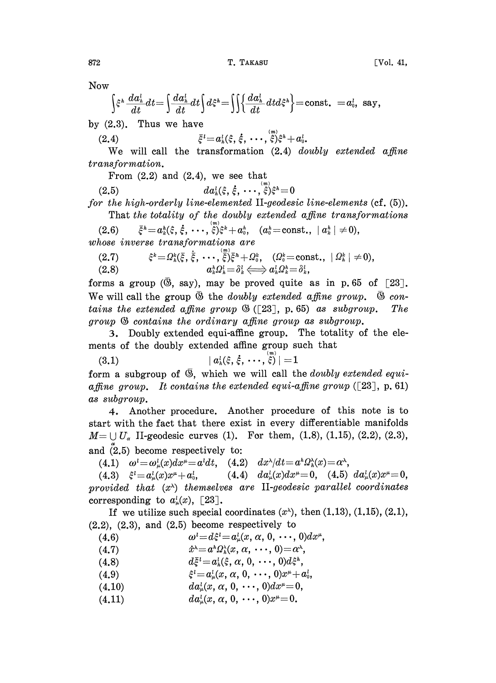NOW

$$
\Big\{\xi^{\imath}\,\frac{d a^{\imath}_{\scriptscriptstyle h}}{d t} d t\!=\!\int\!\!\frac{d a^{\imath}_{\scriptscriptstyle h}}{d t} d t\Big\{d \xi^{\imath}\!=\!\!\int\!\!\Big\{\!\!\frac{d a^{\imath}_{\scriptscriptstyle h}}{d t} d t d \xi^{\imath}\Big\}\!=\!\mathrm{const.}\;= \!a^{\imath}_{\scriptscriptstyle 0},\,\,\mathrm{say},
$$

by  $(2,3)$ . Thus we have

(2.4) 
$$
\bar{\xi}^{i} = a_{h}^{i}(\xi, \dot{\xi}, \cdots, \dot{\xi}) \xi^{h} + a_{0}^{i}
$$

 $\bar{\xi}^l \! = \! a_h^l(\xi, \vec{\xi})$ <br>transform We will call the transformation  $(2.4)$  doubly extended affine transformation.

From  $(2.2)$  and  $(2.4)$ , we see that

(2.5)  $da_k^l(\xi, \dot{\xi}, \cdots, \dot{\xi})\xi^h = 0$ 

for the high-orderly line-elemented II-geodesic line-elements (cf.  $(5)$ ).

That the totality of the doubly extended affine transformations (2.6)  $\bar{\xi}^h = a^h_k(\xi, \dot{\xi}, \cdots, \dot{\xi})\xi^k + a_0^h, \quad (a_0^h = \text{const.}, \ |a_k^h| \neq 0),$ 

whose inverse transformations are

$$
(2.7) \qquad \qquad \xi^k = \Omega^k_h(\bar{\xi},\dot{\bar{\xi}},\cdots,\dot{\bar{\xi}})^2_{\bar{\xi}}h + \Omega^k_0, \quad (\Omega^k_0 = \text{const.}, \ | \ \Omega^k_h | \neq 0),
$$

(2.6)  $\zeta = M_k(\xi, \xi, \dots, \xi) \xi^* + M_0^{\xi}, \quad (M_0 = 0)$ <br>
(2.8)  $a_k^h \Omega_k^l = \delta_k^l \iff a_k^l \Omega_k^h = \delta_k^l$ <br>
(ms a group ( $\overline{\mathfrak{B}}$ , say), may be proved quite

be transformations are<br>  $\xi^k = \Omega_k^k(\bar{\xi}, \dot{\bar{\xi}}, \cdots, \dot{\bar{\xi}}) \bar{\xi}^h + \Omega_0^k$ ,  $(\Omega_0^k = \text{const.}, |\Omega_k^k| \neq 0)$ <br>  $a_k^h \Omega_k^l = \delta_k^l \Longleftrightarrow a_k^l \Omega_k^h = \delta_k^l$ ,<br>
up ( $\bar{\mathfrak{B}}$ , say), may be proved quite as in p. 65 c<br>
he group  $\bar{\mathfrak{B}}$ forms a group ( $\overline{\circ}$ , say), may be proved quite as in p.65 of [23]. We will call the group  $\overline{\mathfrak{G}}$  the *doubly extended affine group.*  $\overline{\mathfrak{G}}$  contains the extended affine group  $\mathcal{B}$  ([23], p. 65) as subgroup. The group  $\mathcal{B}$  contains the ordinary affine group as subgroup.

. Doubly extended equi-affine group. The totality of the elements of the doubly extended affine group such that

$$
(3.1) \hspace{3.1em} | \hspace{.1em} a^{\prime}_{\hbar}(\xi,\,\dot{\xi},\,\cdots,\,\overset{_{\scriptscriptstyle{(m)}}}{\xi}) \hspace{.05em} | = 1
$$

form a subgroup of  $\overline{\mathfrak{G}}$ , which we will call the *doubly extended equi*affine group. It contains the extended equi-affine group  $([23], p. 61)$ as subgroup.

4. Another procedure. Another procedure of this note is to start with the fact that there exist in every differentiable manifolds  $M = \bigcup U_{\alpha}$  II-geodesic curves (1). For them, (1.8), (1.15), (2.2), (2.3), and (2.5) become respectively to:

(4.1)  $\omega^i = \omega^i_\mu(x)dx^\mu = a^i dt$ , (4.2)  $dx^\lambda/dt = a^k\Omega^{\lambda}_h(x) = \alpha^{\lambda}$ ,

(4.3)  $\xi^i = a^i_\mu(x)x^\mu + a^i_0,$  (4.4)  $da^i_\mu(x)dx^\mu = 0$ , (4.5)  $da^i_\mu(x)x^\mu = 0$ , provided that  $(x^{\lambda})$  themselves are II-geodesic parallel coordinates corresponding to  $a<sub>u</sub><sup>l</sup>(x)$ , [23].

If we utilize such special coordinates  $(x^{\lambda})$ , then  $(1.13)$ ,  $(1.15)$ ,  $(2.1)$ ,  $(2,2)$ ,  $(2,3)$ , and  $(2,5)$  become respectively to

- (4.6)  $\omega^i = d\xi^i = a^i_\mu(x, \alpha, 0, \cdots, 0)dx^\mu, \ \dot{x}^\lambda = a^h\Omega^\lambda_h(x, \alpha, \cdots, 0) = \alpha^\lambda,$  $\begin{aligned} \omega^l\!\!=\!\!d\xi^l\!\!=\!\!a^l_\mu\!\!\left(x,\,\alpha,\,0,\,\cdots,\,0\right)\ \hat{x}^\lambda\!\!=\!\!a^h\varOmega^\lambda_h\!\!\left(x,\,\alpha,\,\cdots,\,0\right)\!=\!\alpha^\lambda,\ \hat{d}\bar{\xi}^l\!\!=\!\!a^l\!\left(\hat{\xi},\,\alpha,\,0\!\right)\!\ldots\!\left(0\!\right)\!d\hat{\xi}^h \end{aligned}$
- (4.7)
- (4.S)  $d\bar{\xi}^i=a^i_h(\xi, \alpha, 0, \cdots, 0)d\xi^h$ ,
- (4.9)  $\xi^{i} = a_{\mu}^{i}(x, \alpha, 0, \cdots, 0)x^{\mu} + a_{0}^{i}$
- $(4.10)$  $da_u^l(x, \alpha, 0, \cdots, 0)dx^{\mu}=0,$
- $(4.11)$  $da_u^l(x, \alpha, 0, \cdots, 0)x^{\mu}=0.$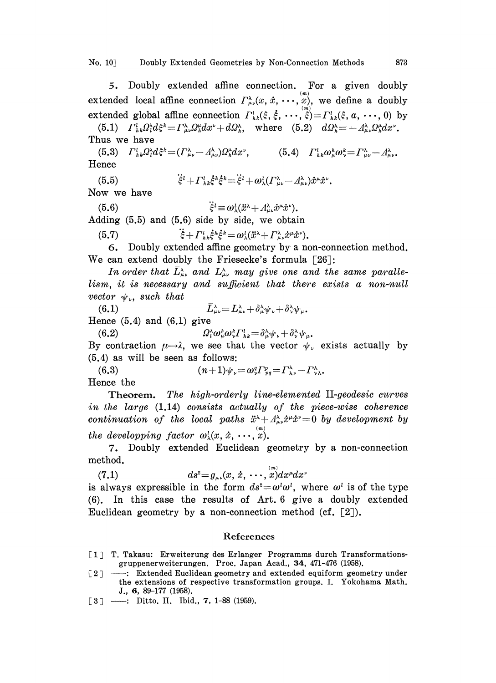## No. 10 Doubly Extended Geometries by Non-Connection Methods 873

5. Doubly extended affine connection. For a given doubly extended local affine connection  $\Gamma_{\mu\nu}^{\lambda}(x, \dot{x}, \cdots, x)$ , we define a doubly extended global affine connection  $\Gamma_{\mu\nu}^i(x, x, \dots, x)$ , we define a doubly<br>extended global affine connection  $\Gamma_{\mu\nu}^i(\xi, \dot{\xi}, \dots, \dot{\xi}) = \Gamma_{\mu\nu}^i(\xi, a, \dots, 0)$  by<br>(5.1)  $\Gamma_{\mu\nu}^i \Omega_i^{\lambda} d\xi^{\mu} = \Gamma_{\mu\nu}^{\lambda} \Omega_{\mu}^{\mu} dx^{\$ 

Thus we have

(5.3)  $\Gamma^l_{hk} \Omega_l^{\lambda} d$  $\begin{aligned} \text{have}\ \mathbb{E}_{hk}Q^\lambda_td\xi^k\! =& ( \varGamma^\lambda_{\mu\nu}\! -\! \varLambda^\lambda_{\mu\nu})\ \tilde{\varXi}_{k+1}^l\varGamma_{k}^{l-k} \end{aligned}$  $=(\Gamma^{\lambda}_{\mu\nu}-A^{\lambda}_{\mu\nu})\Omega^{\mu}_{h}dx^{\nu}, \qquad (5.4) \quad \Gamma^{l}_{h}$ Hence

$$
\dot{\xi}^{i} + \Gamma^{i}_{hk}\dot{\xi}^{h}\dot{\xi}^{k} = \dot{\xi}^{i} + \omega_{\lambda}^{l}(\Gamma^{\lambda}_{\mu\nu} - \Lambda^{\lambda}_{\mu\nu})\dot{x}^{\mu}\dot{x}^{\nu}
$$
\n
$$
\dot{x}^{i} + \Gamma^{l}_{hk}\dot{\xi}^{h}\dot{\xi}^{k} = \dot{\xi}^{l} + \omega_{\lambda}^{l}(\Gamma^{\lambda}_{\mu\nu} - \Lambda^{\lambda}_{\mu\nu})\dot{x}^{\mu}\dot{x}^{\nu}
$$

Now we have

(5.6)  $\ddot{\xi}^i \equiv \omega_\lambda^i (\ddot{x}^\lambda + A^\lambda_{\mu\nu} \dot{x}^\mu \dot{x}^\nu).$ 

Adding (5.5) and (5.6) side by side, we obtain

(5.7)  $\ddot{\xi} + \Gamma_{h k}^l \dot{\xi}^h \dot{\xi}^l$ 

 $-\omega_{\lambda}(x^2 + 2t)$ <br>y side, w<br> $k = \omega_{\lambda}^l(\ddot{x}^{\lambda} +$ <br>ne geometi 6. Doubly extended affine geometry by a non-connection method. We can extend doubly the Friesecke's formula  $\lceil 26 \rceil$ :

In order that  $\bar{L}_{\mu\nu}^{\lambda}$  and  $L_{\mu\nu}^{\lambda}$  may give one and the same parallelism, it is necessary and sufficient that there exists a non-null vector  $\psi_{\nu}$ , such that

 $\bar{L}_{\mu\nu}^{\lambda} = L_{\mu\nu}^{\lambda} + \delta_{\mu}^{\lambda} \psi_{\nu} + \delta_{\lambda}^{\lambda} \psi_{\mu}$ . (6.1) Hence  $(5.4)$  and  $(6.1)$  give

 $(6.2)$  $Q_t^{\lambda} \omega_{\mu}^b \omega_{\nu}^b \Gamma_{hk}^l = \delta_{\mu}^{\lambda} \psi_{\nu} + \delta_{\nu}^{\lambda} \psi_{\mu}$ .

By contraction  $\mu \rightarrow \lambda$ , we see that the vector  $\psi_{\nu}$  exists actually by<br>
(5.4) as will be seen as follows:<br>
(6.3)  $(n+1)\psi_{\nu} = \omega_{\nu}^q \Gamma_{pq}^p = \Gamma_{\lambda\nu}^{\lambda} - \Gamma_{\nu\lambda}^{\lambda}$ . (5.4) as will be seen as follows:

Hence the

Theorem. The high-orderly line-elemented II-geodesic curves in the large (1.14) consists actually of the piece-wise coherence continuation of the local paths  $\ddot{x}^{\lambda}+A^{\lambda}_{\mu\nu}\dot{x}^{\mu}\dot{x}^{\nu}=0$  by development by the developping factor  $\omega_{\lambda}^{l}(x, \dot{x}, \cdots, x)$ .

7. Doubly extended Euclidean geometry by a non-connection method.

(7.1) 
$$
ds^2 = g_{\mu\nu}(x, \dot{x}, \cdots, x) dx^{\mu} dx^{\nu}
$$

is always expressible in the form  $ds^2 = \omega^l \omega^l$ , where  $\omega^l$  is of the type (6). In this case the results of Art. 6 give a doubly extended Euclidean geometry by a non-connection method  $(cf, [2])$ .

## References

- [1] T. Takasu: Erweiterung des Erlanger Programms durch Transformationsgruppenerweiterungen. Proc. Japan Acad., 34, 471-476 (1958).
- [2] : Extended Euclidean geometry and extended equiform geometry under the extensions of respective transformation groups. I. Yokohama Math. J., 6, 89-177 (1958).
- $[3]$  --: Ditto. II. Ibid., 7, 1-88 (1959).